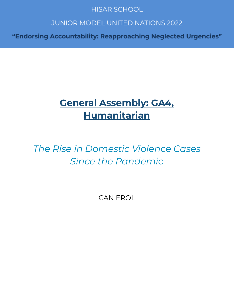# **HISAR SCHOOL**

# **JUNIOR MODEL UNITED NATIONS 2022**

"Endorsing Accountability: Reapproaching Neglected Urgencies"

# **General Assembly: GA4, Humanitarian**

*The Rise in Domestic Violence Cases Since the Pandemic*

CAN EROL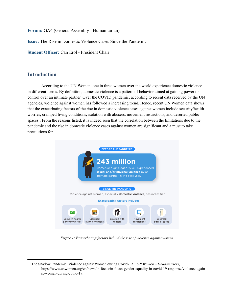**Forum:** GA4 (General Assembly - Humanitarian)

**Issue:** The Rise in Domestic Violence Cases Since the Pandemic

**Student Officer:** Can Erol - President Chair

#### **Introduction**

According to the UN Women, one in three women over the world experience domestic violence in different forms. By definition, domestic violence is a pattern of behavior aimed at gaining power or control over an intimate partner. Over the COVID pandemic, according to recent data received by the UN agencies, violence against women has followed a increasing trend. Hence, recent UN Women data shows that the exacerbating factors of the rise in domestic violence cases against women include security/health worries, cramped living conditions, isolation with abusers, movement restrictions, and deserted public spaces<sup>1</sup>. From the reasons listed, it is indeed seen that the correlation between the limitations due to the pandemic and the rise in domestic violence cases against women are significant and a must to take precautions for.



*Figure 1: Exacerbating factors behind the rise of violence against women*

<sup>1</sup> "The Shadow Pandemic: Violence against Women during Covid-19." *UN Women – Headquarters*, https://www.unwomen.org/en/news/in-focus/in-focus-gender-equality-in-covid-19-response/violence-again st-women-during-covid-19.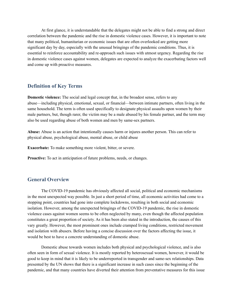At first glance, it is understandable that the delegates might not be able to find a strong and direct correlation between the pandemic and the rise in domestic violence cases. However, it is important to note that many political, humanitarian or economic issues that are often overlooked are getting more significant day by day, especially with the unusual bringings of the pandemic conditions. Thus, it is essential to reinforce accountability and re-approach such issues with utmost urgency. Regarding the rise in domestic violence cases against women, delegates are expected to analyze the exacerbating factors well and come up with proactive measures.

# **Definition of Key Terms**

**Domestic violence:** The social and legal concept that, in the broadest sense, refers to any abuse—including physical, emotional, sexual, or financial—between intimate partners, often living in the same household. The term is often used specifically to designate physical assaults upon women by their male partners, but, though rarer, the victim may be a male abused by his female partner, and the term may also be used regarding abuse of both women and men by same-sex partners.

**Abuse:** Abuse is an action that intentionally causes harm or injures another person. This can refer to physical abuse, psychological abuse, mental abuse, or child abuse

**Exacerbate:** To make something more violent, bitter, or severe.

**Proactive:** To act in anticipation of future problems, needs, or changes.

## **General Overview**

The COVID-19 pandemic has obviously affected all social, political and economic mechanisms in the most unexpected way possible. In just a short period of time, all economic activities had come to a stopping point, countries had gone into complete lockdowns, resulting in both social and economic isolation. However, among the unexpected bringings of the COVID-19 pandemic, the rise in domestic violence cases against women seems to be often neglected by many, even though the affected population constitutes a great proportion of society. As it has been also stated in the introduction, the causes of this vary greatly. However, the most prominent ones include cramped living conditions, restricted movement and isolation with abusers. Before having a concise discussion over the factors affecting the issue, it would be best to have a concrete understanding of domestic abuse.

Domestic abuse towards women includes both physical and psychological violence, and is also often seen in form of sexual violence. It is mostly reported by heterosexual women, however, it would be good to keep in mind that it is likely to be underreported in transgender and same-sex relationships. Data presented by the UN shows that there is a significant increase in such cases since the beginning of the pandemic, and that many countries have diverted their attention from preventative measures for this issue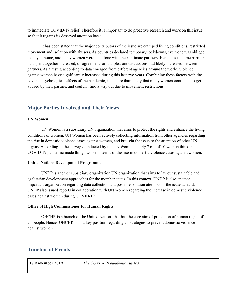to immediate COVID-19 relief. Therefore it is important to do proactive research and work on this issue, so that it regains its deserved attention back.

It has been stated that the major contributors of the issue are cramped living conditions, restricted movement and isolation with abusers. As countries declared temporary lockdowns, everyone was obliged to stay at home, and many women were left alone with their intimate partners. Hence, as the time partners had spent together increased, disagreements and unpleasant discussions had likely increased between partners. As a result, according to data emerged from different agencies around the world, violence against women have significantly increased during this last two years. Combining these factors with the adverse psychological effects of the pandemic, it is more than likely that many women continued to get abused by their partner, and couldn't find a way out due to movement restrictions.

# **Major Parties Involved and Their Views**

#### **UN Women**

UN Women is a subsidiary UN organization that aims to protect the rights and enhance the living conditions of women. UN Women has been actively collecting information from other agencies regarding the rise in domestic violence cases against women, and brought the issue to the attention of other UN organs. According to the surveys conducted by the UN Women, nearly 7 out of 10 women think that COVID-19 pandemic made things worse in terms of the rise in domestic violence cases against women.

#### **United Nations Development Programme**

UNDP is another subsidiary organization UN organization that aims to lay out sustainable and egalitarian development approaches for the member states. In this context, UNDP is also another important organization regarding data collection and possible solution attempts of the issue at hand. UNDP also issued reports in collaboration with UN Women regarding the increase in domestic violence cases against women during COVID-19.

#### **Office of High Commissioner for Human Rights**

OHCHR is a branch of the United Nations that has the core aim of protection of human rights of all people. Hence, OHCHR is in a key position regarding all strategies to prevent domestic violence against women.

# **Timeline of Events**

| 17 November 2019 | The COVID-19 pandemic started. |
|------------------|--------------------------------|
|                  |                                |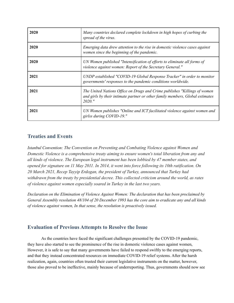| 2020 | Many countries declared complete lockdown in high hopes of curbing the<br>spread of the virus.                                                                          |
|------|-------------------------------------------------------------------------------------------------------------------------------------------------------------------------|
| 2020 | Emerging data drew attention to the rise in domestic violence cases against<br>women since the beginning of the pandemic.                                               |
| 2020 | UN Women published "Intensification of efforts to eliminate all forms of<br>violence against women: Report of the Secretary General."                                   |
| 2021 | UNDP established "COVID-19 Global Response Tracker" in order to monitor<br>governments' responses to the pandemic conditions worldwide.                                 |
| 2021 | The United Nations Office on Drugs and Crime publishes "Killings of women<br>and girls by their intimate partner or other family members, Global estimates<br>$2020.$ " |
| 2021 | UN Women publishes "Online and ICT facilitated violence against women and<br>girlss during COVID-19."                                                                   |

# **Treaties and Events**

*Istanbul Convention: The Convention on Preventing and Combating Violence against Women and Domestic Violence is a comprehensive treaty aiming to ensure women's total liberation from any and all kinds of violence. The European legal instrument has been lobbied by 47 member states, and* opened for signature on 11 May 2011. In 2014, it went into force following its 10th ratification. On *20 March 2021, Recep Tayyip Erdogan, the president of Turkey, announced that Turkey had withdrawn from the treaty by presidential decree. This collected criticism around the world, as rates of violence against women especially soared in Turkey in the last two years.*

*Declaration on the Elimination of Violence Against Women: The declaration that has been proclaimed by* General Assembly resolution 48/104 of 20 December 1993 has the core aim to eradicate any and all kinds *of violence against women, In that sense, the resolution is proactively issued.*

# **Evaluation of Previous Attempts to Resolve the Issue**

As the countries have faced the significant challenges presented by the COVID-19 pandemic, they have also started to see the prominence of the rise in domestic violence cases against women, However, it is safe to say that many governments have failed to respond swiftly to the emerging reports, and that they instead concentrated resources on immediate COVID-19 relief systems. After the harsh realization, again, countries often trusted their current legislative instruments on the matter, however, those also proved to be ineffective, mainly because of underreporting. Thus, governments should now see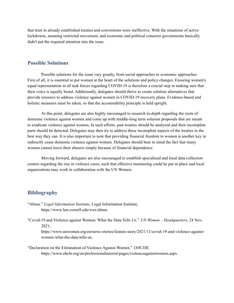that trust in already established treaties and conventions were ineffective. With the situations of active lockdowns, meaning restricted movement, and economic and political concerns governments basically didn't put the required attention into the issue.

## **Possible Solutions**

Possible solutions for the issue vary greatly, from social approaches to economic approaches. First of all, it is essential to put women at the heart of the solutions and policy changes. Ensuring women's equal representation in all task forces regarding COVID-19 is therefore a crucial step in making sure that their voice is equally heard. Additionally, delegates should thrive to create solution alternatives that provide resource to address violence against women in COVID-19 recovery plans. Evidence-based and holistic measures must be taken, so that the accountability principle is held upright.

At this point, delegates are also highly encouraged to research in-depth regarding the roots of domestic violence against women and come up with middle-long term solution proposals that are meant to eradicate violence against women, In such efforts, past treaties should be analyzed and their incomplete parts should be detected. Delegates may then try to address these incomplete aspects of the treaties in the best way they can. It is also important to note that providing financial freedom to women is another key in indirectly cease domestic violence against women. Delegates should bear in mind the fact that many women cannot leave their abusers simply because of financial dependence.

Moving forward, delegates are also encouraged to establish specialized and local data collection centers regarding the rise in violence cases, such that effective monitoring could be put in place and local organizations may work in collaboration with the UN Women.

#### **Bibliography**

- "Abuse." *Legal Information Institute*, Legal Information Institute, https://www.law.cornell.edu/wex/abuse.
- "Covid-19 and Violence against Women: What the Data Tells Us." *UN Women – Headquarters*, 24 Nov. 2021,

https://www.unwomen.org/en/news-stories/feature-story/2021/11/covid-19-and-violence-againstwomen-what-the-data-tells-us.

"Declaration on the Elimination of Violence Against Women." *OHCHR*, https://www.ohchr.org/en/professionalinterest/pages/violenceagainstwomen.aspx.